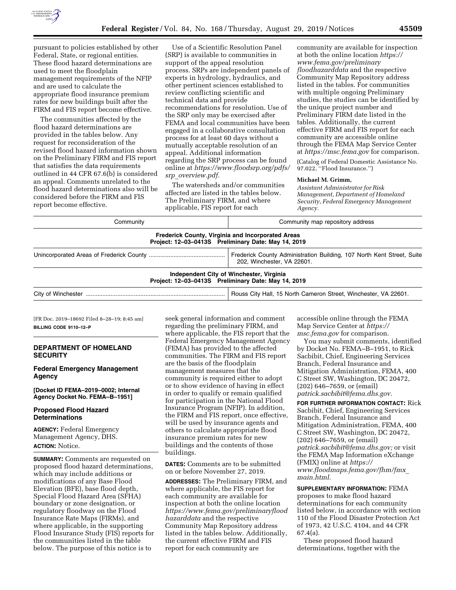

pursuant to policies established by other Federal, State, or regional entities. These flood hazard determinations are used to meet the floodplain management requirements of the NFIP and are used to calculate the appropriate flood insurance premium rates for new buildings built after the FIRM and FIS report become effective.

The communities affected by the flood hazard determinations are provided in the tables below. Any request for reconsideration of the revised flood hazard information shown on the Preliminary FIRM and FIS report that satisfies the data requirements outlined in 44 CFR 67.6(b) is considered an appeal. Comments unrelated to the flood hazard determinations also will be considered before the FIRM and FIS report become effective.

Use of a Scientific Resolution Panel (SRP) is available to communities in support of the appeal resolution process. SRPs are independent panels of experts in hydrology, hydraulics, and other pertinent sciences established to review conflicting scientific and technical data and provide recommendations for resolution. Use of the SRP only may be exercised after FEMA and local communities have been engaged in a collaborative consultation process for at least 60 days without a mutually acceptable resolution of an appeal. Additional information regarding the SRP process can be found online at *[https://www.floodsrp.org/pdfs/](https://www.floodsrp.org/pdfs/srp_overview.pdf) srp*\_*[overview.pdf.](https://www.floodsrp.org/pdfs/srp_overview.pdf)* 

The watersheds and/or communities affected are listed in the tables below. The Preliminary FIRM, and where applicable, FIS report for each

community are available for inspection at both the online location *[https://](https://www.fema.gov/preliminaryfloodhazarddata) [www.fema.gov/preliminary](https://www.fema.gov/preliminaryfloodhazarddata) [floodhazarddata](https://www.fema.gov/preliminaryfloodhazarddata)* and the respective Community Map Repository address listed in the tables. For communities with multiple ongoing Preliminary studies, the studies can be identified by the unique project number and Preliminary FIRM date listed in the tables. Additionally, the current effective FIRM and FIS report for each community are accessible online through the FEMA Map Service Center at *<https://msc.fema.gov>*for comparison. (Catalog of Federal Domestic Assistance No. 97.022, ''Flood Insurance.'')

#### **Michael M. Grimm,**

*Assistant Administrator for Risk Management, Department of Homeland Security, Federal Emergency Management Agency.* 

| Community | Community map repository address                                                                                |
|-----------|-----------------------------------------------------------------------------------------------------------------|
|           | <b>Frederick County, Virginia and Incorporated Areas</b><br>Project: 12-03-0413S Preliminary Date: May 14, 2019 |
|           | Frederick County Administration Building, 107 North Kent Street, Suite<br>202, Winchester, VA 22601.            |
|           | Independent City of Winchester, Virginia<br>Project: 12-03-0413S Preliminary Date: May 14, 2019                 |
|           | Rouss City Hall, 15 North Cameron Street, Winchester, VA 22601.                                                 |

[FR Doc. 2019–18692 Filed 8–28–19; 8:45 am] **BILLING CODE 9110–12–P** 

### **DEPARTMENT OF HOMELAND SECURITY**

**Federal Emergency Management Agency** 

**[Docket ID FEMA–2019–0002; Internal Agency Docket No. FEMA–B–1951]** 

# **Proposed Flood Hazard Determinations**

**AGENCY:** Federal Emergency Management Agency, DHS. **ACTION:** Notice.

**SUMMARY:** Comments are requested on proposed flood hazard determinations, which may include additions or modifications of any Base Flood Elevation (BFE), base flood depth, Special Flood Hazard Area (SFHA) boundary or zone designation, or regulatory floodway on the Flood Insurance Rate Maps (FIRMs), and where applicable, in the supporting Flood Insurance Study (FIS) reports for the communities listed in the table below. The purpose of this notice is to

seek general information and comment regarding the preliminary FIRM, and where applicable, the FIS report that the Federal Emergency Management Agency (FEMA) has provided to the affected communities. The FIRM and FIS report are the basis of the floodplain management measures that the community is required either to adopt or to show evidence of having in effect in order to qualify or remain qualified for participation in the National Flood Insurance Program (NFIP). In addition, the FIRM and FIS report, once effective, will be used by insurance agents and others to calculate appropriate flood insurance premium rates for new buildings and the contents of those buildings.

**DATES:** Comments are to be submitted on or before November 27, 2019.

**ADDRESSES:** The Preliminary FIRM, and where applicable, the FIS report for each community are available for inspection at both the online location *[https://www.fema.gov/preliminaryflood](https://www.fema.gov/preliminaryfloodhazarddata) [hazarddata](https://www.fema.gov/preliminaryfloodhazarddata)* and the respective Community Map Repository address listed in the tables below. Additionally, the current effective FIRM and FIS report for each community are

accessible online through the FEMA Map Service Center at *[https://](https://msc.fema.gov) [msc.fema.gov](https://msc.fema.gov)* for comparison.

You may submit comments, identified by Docket No. FEMA–B–1951, to Rick Sacbibit, Chief, Engineering Services Branch, Federal Insurance and Mitigation Administration, FEMA, 400 C Street SW, Washington, DC 20472, (202) 646–7659, or (email) *[patrick.sacbibit@fema.dhs.gov.](mailto:patrick.sacbibit@fema.dhs.gov)* 

**FOR FURTHER INFORMATION CONTACT:** Rick Sacbibit, Chief, Engineering Services Branch, Federal Insurance and Mitigation Administration, FEMA, 400 C Street SW, Washington, DC 20472, (202) 646–7659, or (email) *[patrick.sacbibit@fema.dhs.gov;](mailto:patrick.sacbibit@fema.dhs.gov)* or visit the FEMA Map Information eXchange (FMIX) online at *[https://](https://www.floodmaps.fema.gov/fhm/fmx_main.html) [www.floodmaps.fema.gov/fhm/fmx](https://www.floodmaps.fema.gov/fhm/fmx_main.html)*\_ *[main.html.](https://www.floodmaps.fema.gov/fhm/fmx_main.html)* 

**SUPPLEMENTARY INFORMATION:** FEMA proposes to make flood hazard determinations for each community listed below, in accordance with section 110 of the Flood Disaster Protection Act of 1973, 42 U.S.C. 4104, and 44 CFR 67.4(a).

These proposed flood hazard determinations, together with the